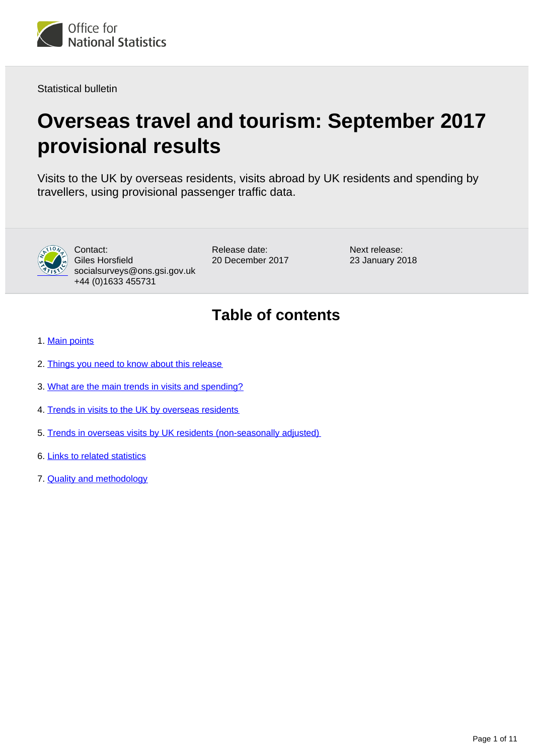

Statistical bulletin

# **Overseas travel and tourism: September 2017 provisional results**

Visits to the UK by overseas residents, visits abroad by UK residents and spending by travellers, using provisional passenger traffic data.



Contact: Giles Horsfield socialsurveys@ons.gsi.gov.uk +44 (0)1633 455731

Release date: 20 December 2017 Next release: 23 January 2018

## **Table of contents**

- 1. [Main points](#page-1-0)
- 2. [Things you need to know about this release](#page-1-1)
- 3. [What are the main trends in visits and spending?](#page-1-2)
- 4. [Trends in visits to the UK by overseas residents](#page-3-0)
- 5. [Trends in overseas visits by UK residents \(non-seasonally adjusted\)](#page-5-0)
- 6. [Links to related statistics](#page-7-0)
- 7. [Quality and methodology](#page-8-0)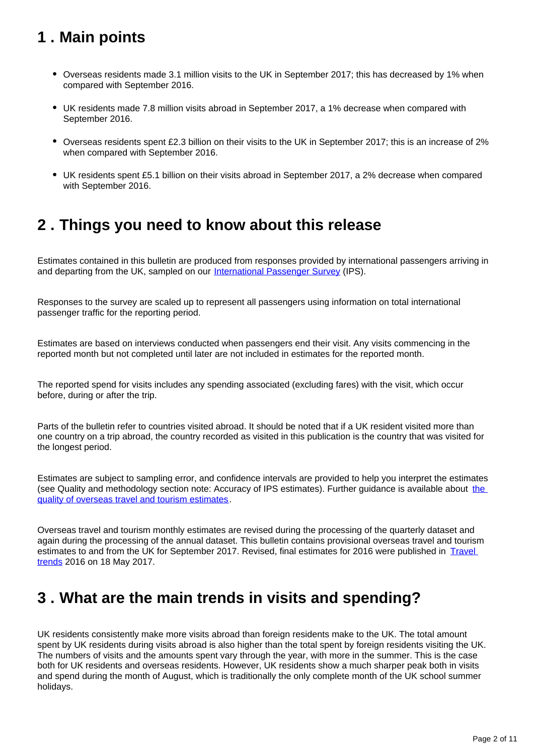## <span id="page-1-0"></span>**1 . Main points**

- Overseas residents made 3.1 million visits to the UK in September 2017; this has decreased by 1% when compared with September 2016.
- UK residents made 7.8 million visits abroad in September 2017, a 1% decrease when compared with September 2016.
- Overseas residents spent £2.3 billion on their visits to the UK in September 2017; this is an increase of 2% when compared with September 2016.
- UK residents spent £5.1 billion on their visits abroad in September 2017, a 2% decrease when compared with September 2016.

## <span id="page-1-1"></span>**2 . Things you need to know about this release**

Estimates contained in this bulletin are produced from responses provided by international passengers arriving in and departing from the UK, sampled on our [International Passenger Survey](http://www.ons.gov.uk/peoplepopulationandcommunity/leisureandtourism/qmis/internationalpassengersurveyipsqmi) (IPS).

Responses to the survey are scaled up to represent all passengers using information on total international passenger traffic for the reporting period.

Estimates are based on interviews conducted when passengers end their visit. Any visits commencing in the reported month but not completed until later are not included in estimates for the reported month.

The reported spend for visits includes any spending associated (excluding fares) with the visit, which occur before, during or after the trip.

Parts of the bulletin refer to countries visited abroad. It should be noted that if a UK resident visited more than one country on a trip abroad, the country recorded as visited in this publication is the country that was visited for the longest period.

Estimates are subject to sampling error, and confidence intervals are provided to help you interpret the estimates (see Quality and methodology section note: Accuracy of IPS estimates). Further guidance is available about [the](http://www.ons.gov.uk/peoplepopulationandcommunity/leisureandtourism/qmis/internationalpassengersurveyipsqmi)  [quality of overseas travel and tourism estimates.](http://www.ons.gov.uk/peoplepopulationandcommunity/leisureandtourism/qmis/internationalpassengersurveyipsqmi)

Overseas travel and tourism monthly estimates are revised during the processing of the quarterly dataset and again during the processing of the annual dataset. This bulletin contains provisional overseas travel and tourism estimates to and from the UK for September 2017. Revised, final estimates for 2016 were published in Travel [trends](https://www.ons.gov.uk/peoplepopulationandcommunity/leisureandtourism/articles/traveltrends/2016) 2016 on 18 May 2017.

## <span id="page-1-2"></span>**3 . What are the main trends in visits and spending?**

UK residents consistently make more visits abroad than foreign residents make to the UK. The total amount spent by UK residents during visits abroad is also higher than the total spent by foreign residents visiting the UK. The numbers of visits and the amounts spent vary through the year, with more in the summer. This is the case both for UK residents and overseas residents. However, UK residents show a much sharper peak both in visits and spend during the month of August, which is traditionally the only complete month of the UK school summer holidays.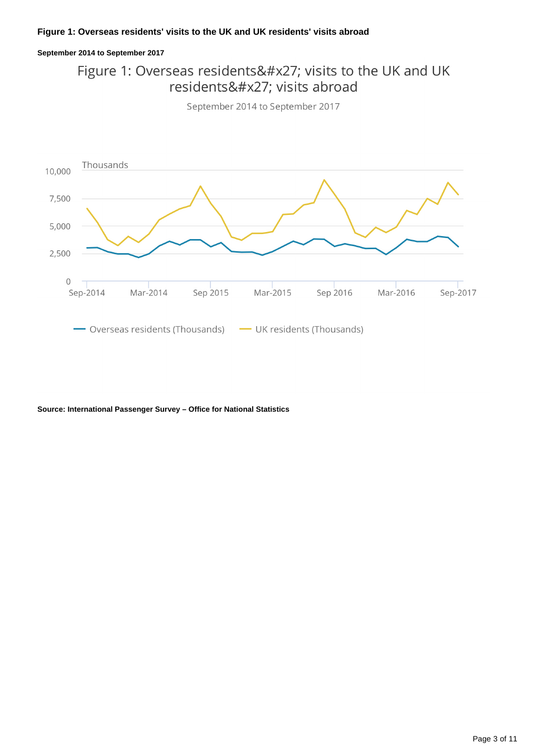### **September 2014 to September 2017**

### Figure 1: Overseas residents' visits to the UK and UK residents' visits abroad





**Source: International Passenger Survey – Office for National Statistics**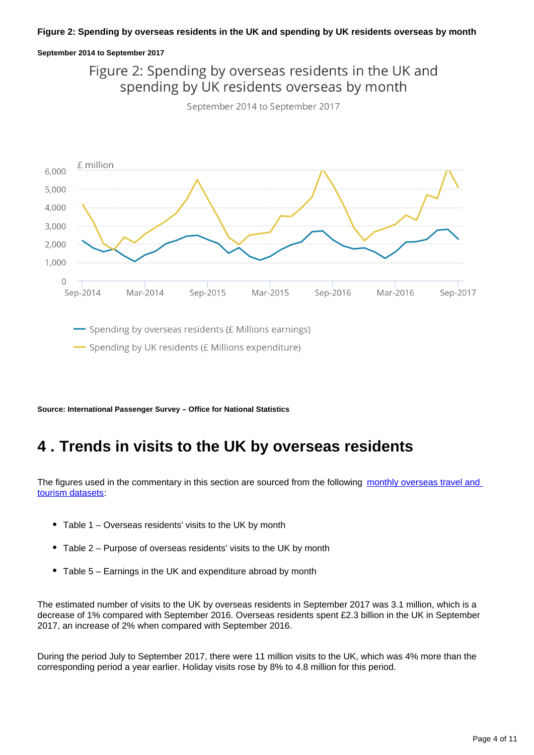### **September 2014 to September 2017**



**Source: International Passenger Survey – Office for National Statistics**

## <span id="page-3-0"></span>**4 . Trends in visits to the UK by overseas residents**

The figures used in the commentary in this section are sourced from the following monthly overseas travel and [tourism datasets:](https://www.ons.gov.uk/peoplepopulationandcommunity/leisureandtourism/datasets/monthlyoverseastravelandtourismreferencetables)

- Table 1 Overseas residents' visits to the UK by month
- Table 2 Purpose of overseas residents' visits to the UK by month
- Table 5 Earnings in the UK and expenditure abroad by month

The estimated number of visits to the UK by overseas residents in September 2017 was 3.1 million, which is a decrease of 1% compared with September 2016. Overseas residents spent £2.3 billion in the UK in September 2017, an increase of 2% when compared with September 2016.

During the period July to September 2017, there were 11 million visits to the UK, which was 4% more than the corresponding period a year earlier. Holiday visits rose by 8% to 4.8 million for this period.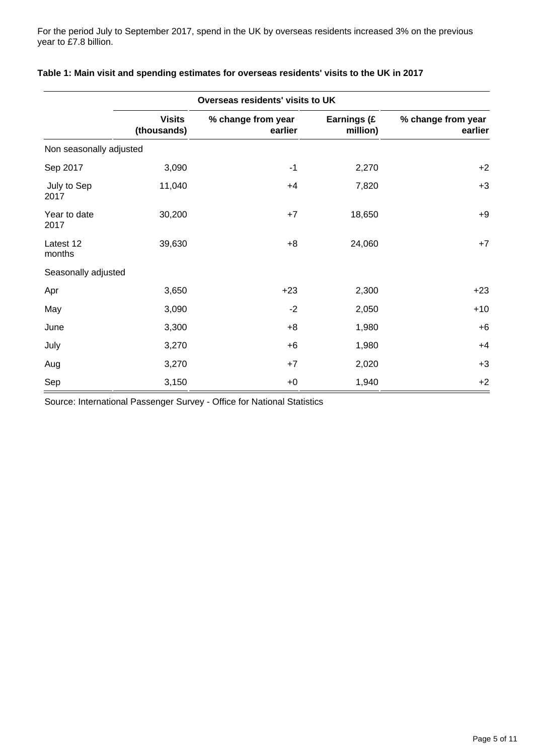For the period July to September 2017, spend in the UK by overseas residents increased 3% on the previous year to £7.8 billion.

| Overseas residents' visits to UK |                              |                               |                         |                               |
|----------------------------------|------------------------------|-------------------------------|-------------------------|-------------------------------|
|                                  | <b>Visits</b><br>(thousands) | % change from year<br>earlier | Earnings (£<br>million) | % change from year<br>earlier |
| Non seasonally adjusted          |                              |                               |                         |                               |
| Sep 2017                         | 3,090                        | $-1$                          | 2,270                   | $+2$                          |
| July to Sep<br>2017              | 11,040                       | $+4$                          | 7,820                   | $+3$                          |
| Year to date<br>2017             | 30,200                       | $+7$                          | 18,650                  | $+9$                          |
| Latest 12<br>months              | 39,630                       | $+8$                          | 24,060                  | $+7$                          |
| Seasonally adjusted              |                              |                               |                         |                               |
| Apr                              | 3,650                        | $+23$                         | 2,300                   | $+23$                         |
| May                              | 3,090                        | $-2$                          | 2,050                   | $+10$                         |
| June                             | 3,300                        | $+8$                          | 1,980                   | $+6$                          |
| July                             | 3,270                        | $+6$                          | 1,980                   | $+4$                          |
| Aug                              | 3,270                        | $+7$                          | 2,020                   | $+3$                          |
| Sep                              | 3,150                        | $+0$                          | 1,940                   | $+2$                          |

### **Table 1: Main visit and spending estimates for overseas residents' visits to the UK in 2017**

Source: International Passenger Survey - Office for National Statistics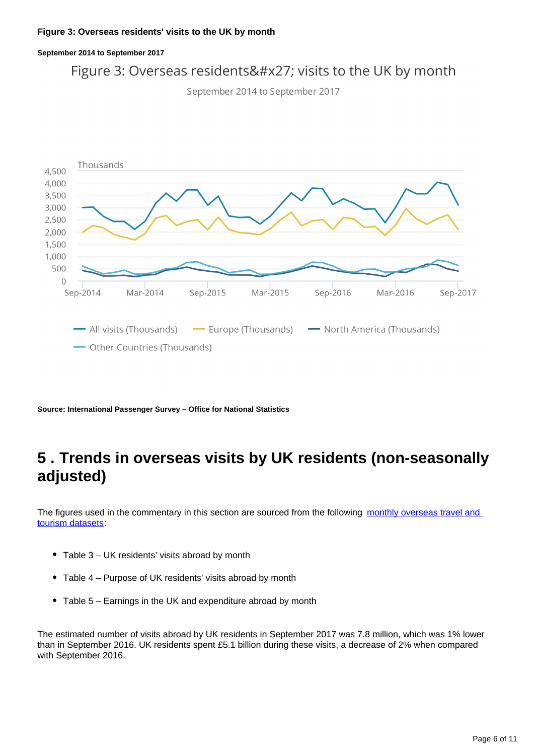## **September 2014 to September 2017** Figure 3: Overseas residents' visits to the UK by month





**Source: International Passenger Survey – Office for National Statistics**

## <span id="page-5-0"></span>**5 . Trends in overseas visits by UK residents (non-seasonally adjusted)**

The figures used in the commentary in this section are sourced from the following monthly overseas travel and [tourism datasets:](https://www.ons.gov.uk/peoplepopulationandcommunity/leisureandtourism/datasets/monthlyoverseastravelandtourismreferencetables)

- Table 3 UK residents' visits abroad by month
- Table 4 Purpose of UK residents' visits abroad by month
- Table 5 Earnings in the UK and expenditure abroad by month

The estimated number of visits abroad by UK residents in September 2017 was 7.8 million, which was 1% lower than in September 2016. UK residents spent £5.1 billion during these visits, a decrease of 2% when compared with September 2016.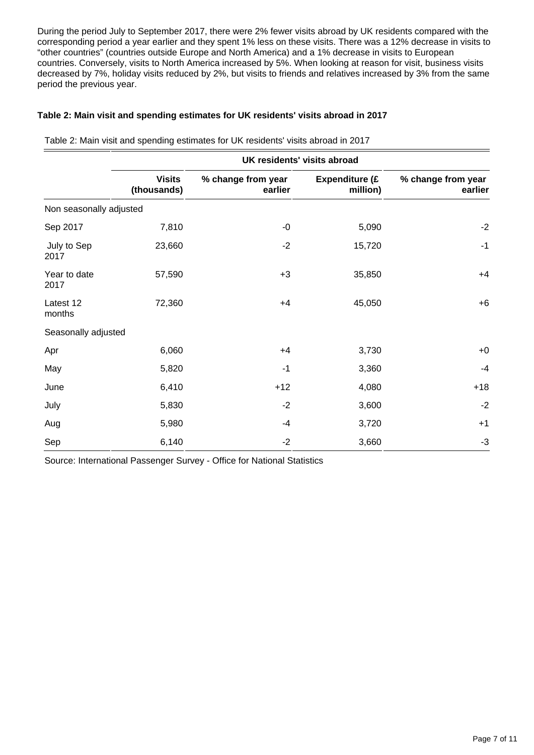During the period July to September 2017, there were 2% fewer visits abroad by UK residents compared with the corresponding period a year earlier and they spent 1% less on these visits. There was a 12% decrease in visits to "other countries" (countries outside Europe and North America) and a 1% decrease in visits to European countries. Conversely, visits to North America increased by 5%. When looking at reason for visit, business visits decreased by 7%, holiday visits reduced by 2%, but visits to friends and relatives increased by 3% from the same period the previous year.

### **Table 2: Main visit and spending estimates for UK residents' visits abroad in 2017**

Table 2: Main visit and spending estimates for UK residents' visits abroad in 2017

|                         | UK residents' visits abroad  |                               |                                   |                               |  |
|-------------------------|------------------------------|-------------------------------|-----------------------------------|-------------------------------|--|
|                         | <b>Visits</b><br>(thousands) | % change from year<br>earlier | <b>Expenditure (£</b><br>million) | % change from year<br>earlier |  |
| Non seasonally adjusted |                              |                               |                                   |                               |  |
| Sep 2017                | 7,810                        | $-0$                          | 5,090                             | $-2$                          |  |
| July to Sep<br>2017     | 23,660                       | $-2$                          | 15,720                            | $-1$                          |  |
| Year to date<br>2017    | 57,590                       | $+3$                          | 35,850                            | $+4$                          |  |
| Latest 12<br>months     | 72,360                       | $+4$                          | 45,050                            | $+6$                          |  |
| Seasonally adjusted     |                              |                               |                                   |                               |  |
| Apr                     | 6,060                        | $+4$                          | 3,730                             | $+0$                          |  |
| May                     | 5,820                        | $-1$                          | 3,360                             | $-4$                          |  |
| June                    | 6,410                        | $+12$                         | 4,080                             | $+18$                         |  |
| July                    | 5,830                        | $-2$                          | 3,600                             | $-2$                          |  |
| Aug                     | 5,980                        | $-4$                          | 3,720                             | $+1$                          |  |
| Sep                     | 6,140                        | $-2$                          | 3,660                             | $-3$                          |  |

Source: International Passenger Survey - Office for National Statistics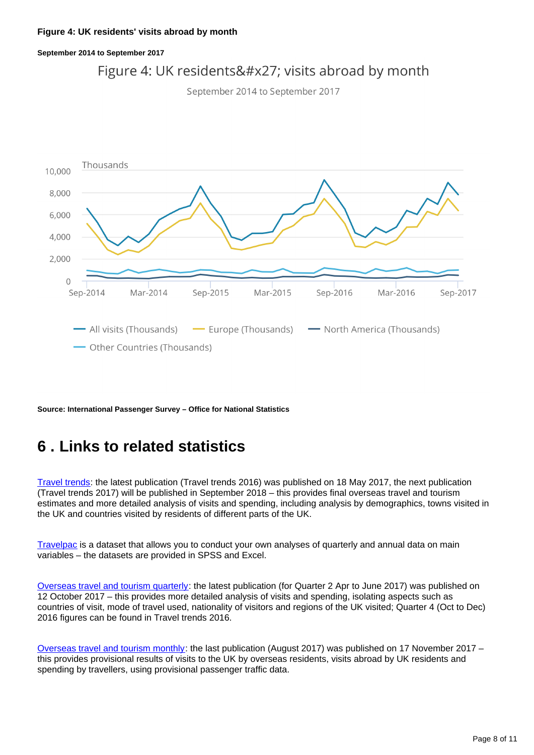### **September 2014 to September 2017**



September 2014 to September 2017



**Source: International Passenger Survey – Office for National Statistics**

## <span id="page-7-0"></span>**6 . Links to related statistics**

[Travel trends:](http://www.ons.gov.uk/peoplepopulationandcommunity/leisureandtourism/articles/traveltrends/previousReleases) the latest publication (Travel trends 2016) was published on 18 May 2017, the next publication (Travel trends 2017) will be published in September 2018 – this provides final overseas travel and tourism estimates and more detailed analysis of visits and spending, including analysis by demographics, towns visited in the UK and countries visited by residents of different parts of the UK.

[Travelpac](http://www.ons.gov.uk/peoplepopulationandcommunity/leisureandtourism/datasets/travelpac) is a dataset that allows you to conduct your own analyses of quarterly and annual data on main variables – the datasets are provided in SPSS and Excel.

[Overseas travel and tourism quarterly](http://www.ons.gov.uk/peoplepopulationandcommunity/leisureandtourism/articles/overseastravelandtourismprovisionalresults/previousReleases): the latest publication (for Quarter 2 Apr to June 2017) was published on 12 October 2017 – this provides more detailed analysis of visits and spending, isolating aspects such as countries of visit, mode of travel used, nationality of visitors and regions of the UK visited; Quarter 4 (Oct to Dec) 2016 figures can be found in Travel trends 2016.

[Overseas travel and tourism monthly:](https://www.ons.gov.uk/peoplepopulationandcommunity/leisureandtourism/bulletins/overseastravelandtourism/previousReleases) the last publication (August 2017) was published on 17 November 2017 – this provides provisional results of visits to the UK by overseas residents, visits abroad by UK residents and spending by travellers, using provisional passenger traffic data.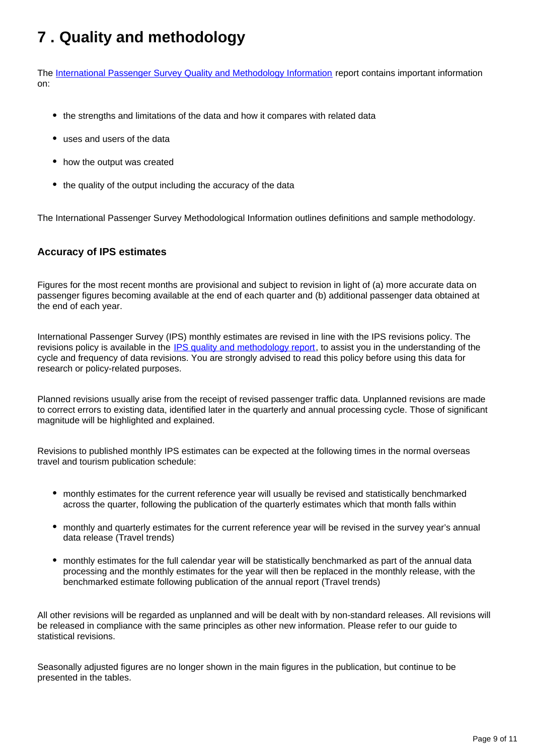## <span id="page-8-0"></span>**7 . Quality and methodology**

The [International Passenger Survey Quality and Methodology Information](https://www.ons.gov.uk/peoplepopulationandcommunity/leisureandtourism/qmis/internationalpassengersurveyipsqmi) report contains important information on:

- the strengths and limitations of the data and how it compares with related data
- uses and users of the data
- how the output was created
- the quality of the output including the accuracy of the data

The International Passenger Survey Methodological Information outlines definitions and sample methodology.

### **Accuracy of IPS estimates**

Figures for the most recent months are provisional and subject to revision in light of (a) more accurate data on passenger figures becoming available at the end of each quarter and (b) additional passenger data obtained at the end of each year.

International Passenger Survey (IPS) monthly estimates are revised in line with the IPS revisions policy. The revisions policy is available in the [IPS quality and methodology report](http://www.ons.gov.uk/peoplepopulationandcommunity/leisureandtourism/qmis/internationalpassengersurveyipsqmi), to assist you in the understanding of the cycle and frequency of data revisions. You are strongly advised to read this policy before using this data for research or policy-related purposes.

Planned revisions usually arise from the receipt of revised passenger traffic data. Unplanned revisions are made to correct errors to existing data, identified later in the quarterly and annual processing cycle. Those of significant magnitude will be highlighted and explained.

Revisions to published monthly IPS estimates can be expected at the following times in the normal overseas travel and tourism publication schedule:

- monthly estimates for the current reference year will usually be revised and statistically benchmarked across the quarter, following the publication of the quarterly estimates which that month falls within
- monthly and quarterly estimates for the current reference year will be revised in the survey year's annual data release (Travel trends)
- monthly estimates for the full calendar year will be statistically benchmarked as part of the annual data processing and the monthly estimates for the year will then be replaced in the monthly release, with the benchmarked estimate following publication of the annual report (Travel trends)

All other revisions will be regarded as unplanned and will be dealt with by non-standard releases. All revisions will be released in compliance with the same principles as other new information. Please refer to our guide to statistical revisions.

Seasonally adjusted figures are no longer shown in the main figures in the publication, but continue to be presented in the tables.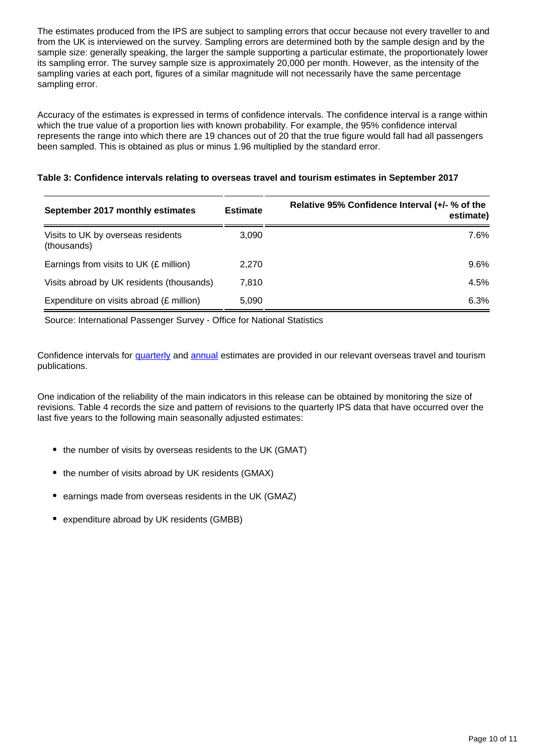The estimates produced from the IPS are subject to sampling errors that occur because not every traveller to and from the UK is interviewed on the survey. Sampling errors are determined both by the sample design and by the sample size: generally speaking, the larger the sample supporting a particular estimate, the proportionately lower its sampling error. The survey sample size is approximately 20,000 per month. However, as the intensity of the sampling varies at each port, figures of a similar magnitude will not necessarily have the same percentage sampling error.

Accuracy of the estimates is expressed in terms of confidence intervals. The confidence interval is a range within which the true value of a proportion lies with known probability. For example, the 95% confidence interval represents the range into which there are 19 chances out of 20 that the true figure would fall had all passengers been sampled. This is obtained as plus or minus 1.96 multiplied by the standard error.

| Table 3: Confidence intervals relating to overseas travel and tourism estimates in September 2017 |
|---------------------------------------------------------------------------------------------------|
|---------------------------------------------------------------------------------------------------|

| September 2017 monthly estimates                  | <b>Estimate</b> | Relative 95% Confidence Interval (+/- % of the<br>estimate) |
|---------------------------------------------------|-----------------|-------------------------------------------------------------|
| Visits to UK by overseas residents<br>(thousands) | 3.090           | 7.6%                                                        |
| Earnings from visits to UK (£ million)            | 2.270           | $9.6\%$                                                     |
| Visits abroad by UK residents (thousands)         | 7.810           | 4.5%                                                        |
| Expenditure on visits abroad (£ million)          | 5.090           | 6.3%                                                        |

Source: International Passenger Survey - Office for National Statistics

Confidence intervals for [quarterly](http://www.ons.gov.uk/peoplepopulationandcommunity/leisureandtourism/articles/overseastravelandtourismprovisionalresults/previousReleases) and [annual](http://www.ons.gov.uk/peoplepopulationandcommunity/leisureandtourism/articles/traveltrends/previousReleases) estimates are provided in our relevant overseas travel and tourism publications.

One indication of the reliability of the main indicators in this release can be obtained by monitoring the size of revisions. Table 4 records the size and pattern of revisions to the quarterly IPS data that have occurred over the last five years to the following main seasonally adjusted estimates:

- the number of visits by overseas residents to the UK (GMAT)
- the number of visits abroad by UK residents (GMAX)
- earnings made from overseas residents in the UK (GMAZ)
- expenditure abroad by UK residents (GMBB)